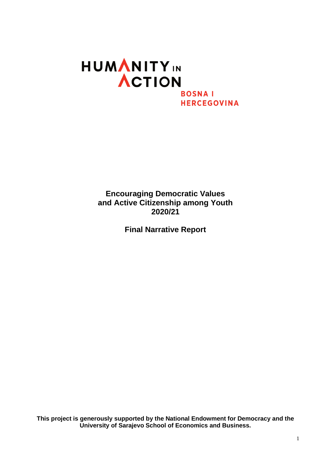# **HUMANITY**IN ACTION **BOSNAI HERCEGOVINA**

**Encouraging Democratic Values and Active Citizenship among Youth 2020/21**

**Final Narrative Report**

**This project is generously supported by the National Endowment for Democracy and the University of Sarajevo School of Economics and Business.**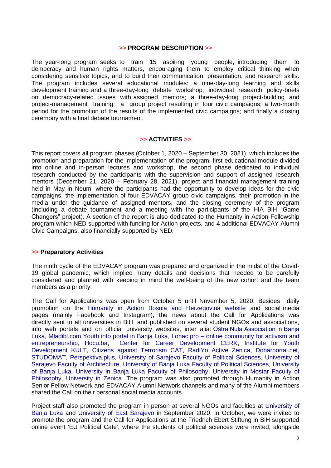#### **>> PROGRAM DESCRIPTION >>**

The year-long program seeks to train 15 aspiring young people, introducing them to democracy and human rights matters, encouraging them to employ critical thinking when considering sensitive topics, and to build their communication, presentation, and research skills. The program includes several educational modules: a nine-day-long learning and skills development training and a three-day-long debate workshop; individual research policy-briefs on democracy-related issues with assigned mentors; a three-day-long project-building and project-management training; a group project resulting in four civic campaigns; a two-month period for the promotion of the results of the implemented civic campaigns; and finally a closing ceremony with a final debate tournament.

#### **>> ACTIVITIES >>**

This report covers all program phases (October 1, 2020 – September 30, 2021), which includes the promotion and preparation for the implementation of the program, first educational module divided into online and in-person lectures and workshop, the second phase dedicated to individual research conducted by the participants with the supervision and support of assigned research mentors (December 21, 2020 – February 28, 2021), project and financial management training held in May in Neum, where the participants had the opportunity to develop ideas for the civic campaigns, the implementation of four EDVACAY group civic campaigns, their promotion in the media under the guidance of assigned mentors, and the closing ceremony of the program (including a debate tournament and a meeting with the participants of the HIA BiH "Game Changers" project). A section of the report is also dedicated to the Humanity in Action Fellowship program which NED supported with funding for Action projects, and 4 additional EDVACAY Alumni Civic Campaigns, also financially supported by NED.

#### **>> Preparatory Activities**

The ninth cycle of the EDVACAY program was prepared and organized in the midst of the Covid-19 global pandemic, which implied many details and decisions that needed to be carefully considered and planned with keeping in mind the well-being of the new cohort and the team members as a priority.

The Call for Applications was open from October 5 until November 5, 2020. Besides daily promotion on the [Humanity in Action Bosnia and Herzegovina website](https://www.humanityinaction.org/news_item/hia-bih-otvoreni-poziv-za-dostavljanje-prijava-za-ucesce-na-pdviagmm-programu/) and social media pages (mainly Facebook and Instagram), the news about the Call for Applications was directly sent to all universities in BiH, and published on several student NGOs and associations, info web portals and on official university websites, inter alia: [Oštra Nula Association in Banja](https://www.facebook.com/Ostra0)  [Luka,](https://www.facebook.com/Ostra0) [Mladibl.com Youth info portal in Banja Luka,](https://www.mladibl.com/?p=3184) Lonac.pro – [online community for activism and](https://www.lonac.pro/hia-bih-otvoreni-poziv-za-dostavljanje-prijava-za-ucesce-na-pdviagmm-programu)  [entrepreneurship,](https://www.lonac.pro/hia-bih-otvoreni-poziv-za-dostavljanje-prijava-za-ucesce-na-pdviagmm-programu) [Hocu.ba,](https://www.hocu.ba/indexphp/hocupriliku/humanity-in-action-prijavi-se-za-ucesce-u-projektu/) [Center for Career Development CERK,](https://cerk.info/program-fondacija-humanity-in-action-bih-poticanje-demokratskih-vrijednosti-i-aktivnog-gradjanstva-medju-mladima/) [Institute for Youth](https://www.facebook.com/pg/institut.kult/posts/)  [Development KULT,](https://www.facebook.com/pg/institut.kult/posts/) [Citizens against Terrorism CAT,](https://www.catbih.ba/humanity-in-action-poziv-za-ucesce-u-programu/) [RadiYo Active Zenica,](https://activezenica.org/2020/10/06/humanity-in-action-ucestvuj-u-projektu-poticanje-demokratskih-vrijednosti-i-aktivnog-gradjanstva-medju-mladima/) [Dobarportal.net,](https://dobarportal.net/2020/10/06/poziv-studentima-poticanje-demokratskih-vrijednosti-i-aktivnog-gradanstva-medu-mladima/) [STUDOMAT,](https://studomat.ba/humanity-in-action-bosna-i-hercegovina-objavljuje-poziv-za-dostavljanje-prijava-za-ucesce-u-projektu-poticanje-demokratskih-vrijednosti-i-aktivnog-gradjanstva-medju-mladima/102559/) [Perspektiva.plus,](https://perspektiva.plus/poticanje-demokratskih-vrijednosti-i-aktivnog-gradjanstva-medju-mladima/) [University of Sarajevo Faculty of Political Sciences,](https://fpn.unsa.ba/b/poziv-na-prijavu-za-ucesce-na-humanity-in-action-pdviagmm-programu/) [University of](https://af.unsa.ba/poticanje-demokratskih-vrijednosti-i-aktivnog-gradjanstva-medju-mladima/)  [Sarajevo Faculty of Architecture,](https://af.unsa.ba/poticanje-demokratskih-vrijednosti-i-aktivnog-gradjanstva-medju-mladima/) [University of Banja Luka Faculty of Political Sciences,](https://fpn.unibl.org/sr/studenti/studentske-novosti/1308-poticanje-demokratskih-vrijednosti-i-aktivnog-gradjanstva-medju-mladima) [University](https://www.unibl.org/sr/vesti/2020/10/poziv-za-prijavu-na-projekat-podsticanje-demokratskih-vrijednosti-i-aktivnog-gradjanstva-medju-mladima)  [of Banja Luka,](https://www.unibl.org/sr/vesti/2020/10/poziv-za-prijavu-na-projekat-podsticanje-demokratskih-vrijednosti-i-aktivnog-gradjanstva-medju-mladima) [University in Banja Luka Faculty of Philosophy,](https://ff.unibl.org/sve-novosti/novost/410/humanity-in-action-bosna-i-hercegovina-poziv-za-ucesce-u-projektu) [University in Mostar Faculty of](https://ff.sum.ba/hr/node/23309)  [Philosophy,](https://ff.sum.ba/hr/node/23309) [University in Zenica.](https://unze.ba/humanity-in-action-bosna-i-hercegovina-objavljuje-poziv-za-dostavljanje-prijava-za-ucesce-u-projektu-poticanje-demokratskih-vrijednosti-i-aktivnog-gradjanstva-medju-mladima/) The program was also promoted through Humanity in Action Senior Fellow Network and EDVACAY Alumni Network channels and many of the Alumni members shared the Call on their personal social media accounts.

Project staff also promoted the program in person at several NGOs and faculties at [University of](https://www.humanityinaction.org/news_item/edvacay-program-promotion-in-banja-luka/) [Banja Luka](https://www.humanityinaction.org/news_item/edvacay-program-promotion-in-banja-luka/) and University of [East Sarajevo](https://www.humanityinaction.org/news_item/edvacay-program-promotion-at-the-east-sarajevo-university/) in September 2020. In October, we were invited to promote the program and the Call for Applications at the Friedrich Ebert Stiftung in BiH supported online event 'EU Political Cafe', where the students of political sciences were invited, alongside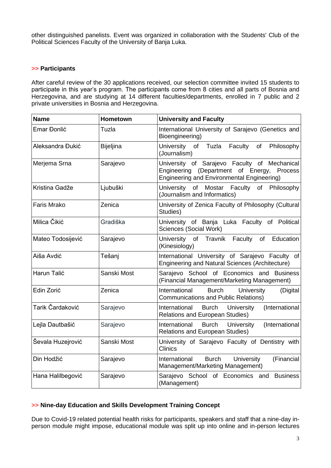other distinguished panelists. Event was organized in collaboration with the Students' Club of the Political Sciences Faculty of the University of Banja Luka.

### **>> Participants**

After careful review of the 30 applications received, our selection committee invited 15 students to participate in this year's program. The participants come from 8 cities and all parts of Bosnia and Herzegovina, and are studying at 14 different faculties/departments, enrolled in 7 public and 2 private universities in Bosnia and Herzegovina.

| <b>Name</b>        | <b>Hometown</b>  | <b>University and Faculty</b>                                                                                                                   |
|--------------------|------------------|-------------------------------------------------------------------------------------------------------------------------------------------------|
| Emar Đonlić        | Tuzla            | International University of Sarajevo (Genetics and<br>Bioengineering)                                                                           |
| Aleksandra Đukić   | <b>Bijeljina</b> | of Tuzla<br>University<br>Faculty of<br>Philosophy<br>(Journalism)                                                                              |
| Merjema Srna       | Sarajevo         | University of Sarajevo Faculty of Mechanical<br>Engineering (Department of Energy, Process<br><b>Engineering and Environmental Engineering)</b> |
| Kristina Gadže     | Ljubuški         | University of Mostar Faculty of Philosophy<br>(Journalism and Informatics)                                                                      |
| <b>Faris Mrako</b> | Zenica           | University of Zenica Faculty of Philosophy (Cultural<br>Studies)                                                                                |
| Milica Čikić       | Gradiška         | University of Banja Luka Faculty of Political<br>Sciences (Social Work)                                                                         |
| Mateo Todosijević  | Sarajevo         | University of Travnik<br>Faculty of<br>Education<br>(Kinesiology)                                                                               |
| Aiša Avdić         | Tešanj           | International University of Sarajevo Faculty of<br>Engineering and Natural Sciences (Architecture)                                              |
| Harun Talić        | Sanski Most      | Sarajevo School of Economics and Business<br>(Financial Management/Marketing Management)                                                        |
| Edin Zorić         | Zenica           | <b>Burch</b><br>International<br>University<br>(Digital<br><b>Communications and Public Relations)</b>                                          |
| Tarik Čardaković   | Sarajevo         | <b>Burch University</b><br>International<br>(International<br>Relations and European Studies)                                                   |
| Lejla Dautbašić    | Sarajevo         | <b>Burch</b><br>University<br>(International<br>International<br><b>Relations and European Studies)</b>                                         |
| Ševala Huzejrović  | Sanski Most      | University of Sarajevo Faculty of Dentistry with<br><b>Clinics</b>                                                                              |
| Din Hodžić         | Sarajevo         | International<br><b>Burch</b><br>University<br>(Financial<br>Management/Marketing Management)                                                   |
| Hana Halilbegović  | Sarajevo         | Sarajevo School of Economics and<br><b>Business</b><br>(Management)                                                                             |

### **>> Nine-day Education and Skills Development Training Concept**

Due to Covid-19 related potential health risks for participants, speakers and staff that a nine-day inperson module might impose, educational module was split up into online and in-person lectures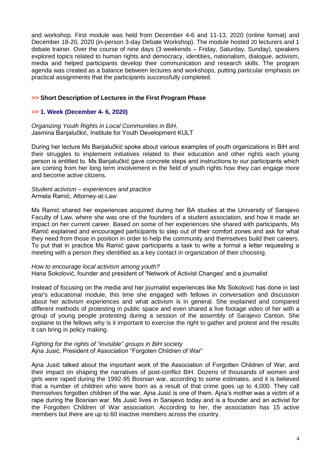and workshop. First module was held from December 4-6 and 11-13, 2020 (online format) and December 18-20, 2020 (in-person 3-day Debate Workshop). The module hosted 20 lecturers and 1 debate trainer. Over the course of nine days (3 weekends – Friday, Saturday, Sunday), speakers explored topics related to human rights and democracy, identities, nationalism, dialogue, activism, media and helped participants develop their communication and research skills. The program agenda was created as a balance between lectures and workshops, putting particular emphasis on practical assignments that the participants successfully completed.

## **>> Short Description of Lectures in the First Program Phase**

## **>> [1. Week \(December 4-](https://www.humanityinaction.org/news_item/edvacay-20-21-online-educational-module/) 6, 2020)**

*Organizing Youth Rights in Local Communities in BiH,* Jasmina Banjalučkić, Institute for Youth Development KULT

During her lecture Ms Banjalučkić spoke about various examples of youth organizations in BiH and their struggles to implement initiatives related to their education and other rights each young person is entitled to. Ms Banjalučkić gave concrete steps and instructions to our participants which are coming from her long term involvement in the field of youth rights how they can engage more and become active citizens.

#### *Student activism – experiences and practice*  Armela Ramić, Attorney-at-Law

Ms Ramić shared her experiences acquired during her BA studies at the University of Sarajevo Faculty of Law, where she was one of the founders of a student association, and how it made an impact on her current career. Based on some of her experiences she shared with participants, Ms Ramić explained and encouraged participants to step out of their comfort zones and ask for what they need from those in position in order to help the community and themselves build their careers. To put that in practice Ms Ramić gave participants a task to write a formal a letter requesting a meeting with a person they identified as a key contact in organization of their choosing.

*How to encourage local activism among youth?* Hana Sokolović, founder and president of 'Network of Activist Changes' and a journalist

Instead of focusing on the media and her journalist experiences like Ms Sokolović has done in last year's educational module, this time she engaged with fellows in conversation and discussion about her activism experiences and what activism is in general. She explained and compared different methods of protesting in public space and even shared a live footage video of her with a group of young people protesting during a session of the assembly of Sarajevo Canton. She explaine to the fellows why is it important to exercise the right to gather and protest and the results it can bring in policy making.

#### *Fighting for the rights of "invisible" groups in BiH society* Ajna Jusić, President of Association "Forgoten Children of War"

Ajna Jusić talked about the important work of the Association of Forgotten Children of War, and their impact on shaping the narratives of post-conflict BiH. Dozens of thousands of women and girls were raped during the 1992-95 Bosnian war, according to some estimates, and it is believed that a number of children who were born as a result of that crime goes up to 4,000. They call themselves forgotten children of the war. Ajna Jusić is one of them. Ajna's mother was a victim of a rape during the Bosnian war. Ms Jusić lives in Sarajevo today and is a founder and an activist for the Forgotten Children of War association. According to her, the association has 15 active members but there are up to 60 inactive members across the country.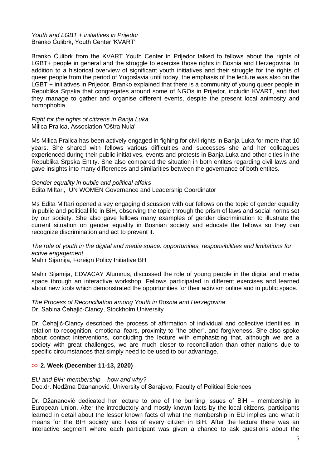*Youth and LGBT + initiatives in Prijedor*  Branko Ćulibrk, Youth Center 'KVART'

Branko Ćulibrk from the KVART Youth Center in Prijedor talked to fellows about the rights of LGBT+ people in general and the struggle to exercise those rights in Bosnia and Herzegovina. In addition to a historical overview of significant youth initiatives and their struggle for the rights of queer people from the period of Yugoslavia until today, the emphasis of the lecture was also on the LGBT + initiatives in Prijedor. Branko explained that there is a community of young queer people in Republika Srpska that congregates around some of NGOs in Prijedor, includin KVART, and that they manage to gather and organise different events, despite the present local animosity and homophobia.

*Fight for the rights of citizens in Banja Luka*  Milica Pralica, Association 'Oštra Nula'

Ms Milica Pralica has been actively engaged in fighing for civil rights in Banja Luka for more that 10 years. She shared with fellows various difficulties and successes she and her colleagues experienced during their public initiatives, events and protests in Banja Luka and other cities in the Republika Srpska Entity. She also compared the situation in both entites regarding civil laws and gave insights into many differences and similarities between the governance of both entites.

#### *Gender equality in public and political affairs*

Edita Miftari, UN WOMEN Governance and Leadership Coordinator

Ms Edita Miftari opened a vey engaging discussion with our fellows on the topic of gender equality in public and political life in BiH, observing the topic through the prism of laws and social norms set by our society. She also gave fellows many examples of gender discrimination to illustrate the current situation on gender equality in Bosnian society and educate the fellows so they can recognize discrimination and act to prevent it.

### *The role of youth in the digital and media space: opportunities, responsibilities and limitations for active engagement*

Mahir Sijamija, Foreign Policy Initiative BH

Mahir Sijamija, EDVACAY Alumnus, discussed the role of young people in the digital and media space through an interactive workshop. Fellows participated in different exercises and learned about new tools which demonstrated the opportunities for their activism online and in public space.

#### *The Process of Reconciliation among Youth in Bosnia and Herzegovina* Dr. Sabina Čehajić-Clancy, Stockholm University

Dr. Čehajić-Clancy described the process of affirmation of individual and collective identities, in relation to recognition, emotional fears, proximity to "the other", and forgiveness. She also spoke about contact interventions, concluding the lecture with emphasizing that, although we are a society with great challenges, we are much closer to reconciliation than other nations due to specific circumstances that simply need to be used to our advantage.

### **>> 2. Week (December 11-13, 2020)**

#### *EU and BiH: membership – how and why?*

Doc.dr. Nedžma Džananović, University of Sarajevo, Faculty of Political Sciences

Dr. Džananović dedicated her lecture to one of the burning issues of BiH – membership in European Union. After the introductory and mostly known facts by the local citizens, participants learned in detail about the lesser known facts of what the membership in EU implies and what it means for the BIH society and lives of every citizen in BiH. After the lecture there was an interactive segment where each participant was given a chance to ask questions about the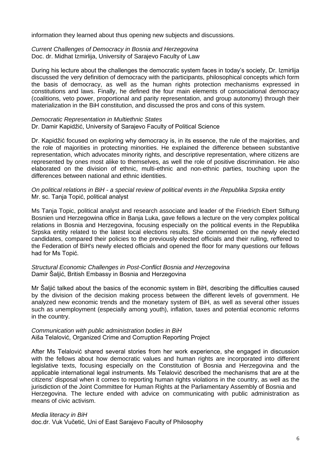information they learned about thus opening new subjects and discussions.

*Current Challenges of Democracy in Bosnia and Herzegovina* Doc. dr. Midhat Izmirlija, University of Sarajevo Faculty of Law

During his lecture about the challenges the democratic system faces in today's society, Dr. Izmirlija discussed the very definition of democracy with the participants, philosophical concepts which form the basis of democracy, as well as the human rights protection mechanisms expressed in constitutions and laws. Finally, he defined the four main elements of consociational democracy (coalitions, veto power, proportional and parity representation, and group autonomy) through their materialization in the BiH constitution, and discussed the pros and cons of this system.

#### *Democratic Representation in Multiethnic States*

Dr. Damir Kapidžić, University of Sarajevo Faculty of Political Science

Dr. Kapidžić focused on exploring why democracy is, in its essence, the rule of the majorities, and the role of majorities in protecting minorities. He explained the difference between substantive representation, which advocates minority rights, and descriptive representation, where citizens are represented by ones most alike to themselves, as well the role of positive discrimination. He also elaborated on the division of ethnic, multi-ethnic and non-ethnic parties, touching upon the differences between national and ethnic identities.

*On political relations in BiH - a special review of political events in the Republika Srpska entity*  Mr. sc. Tanja Topić, political analyst

Ms Tanja Topic, political analyst and research associate and leader of the Friedrich Ebert Stiftung Bosnien und Herzegowina office in Banja Luka, gave fellows a lecture on the very complex political relations in Bosnia and Herzegovina, focusing especially on the political events in the Republika Srpska entity related to the latest local elections results. She commented on the newly elected candidates, compared their policies to the previously elected officials and their rulling, reffered to the Federation of BiH's newly elected officials and opened the floor for many questions our fellows had for Ms Topić.

*Structural Economic Challenges in Post-Conflict Bosnia and Herzegovina* Damir Šaljić, British Embassy in Bosnia and Herzegovina

Mr Šaljić talked about the basics of the economic system in BiH, describing the difficulties caused by the division of the decision making process between the different levels of government. He analyzed new economic trends and the monetary system of BiH, as well as several other issues such as unemployment (especially among youth), inflation, taxes and potential economic reforms in the country.

#### *Communication with public administration bodies in BiH* Aiša Telalović, Organized Crime and Corruption Reporting Project

After Ms Telalović shared several stories from her work experience, she engaged in discussion with the fellows about how democratic values and human rights are incorporated into different legislative texts, focusing especially on the Constitution of Bosnia and Herzegovina and the applicable international legal instruments. Ms Telalović described the mechanisms that are at the citizens' disposal when it comes to reporting human rights violations in the country, as well as the jurisdiction of the Joint Committee for Human Rights at the Parliamentary Assembly of Bosnia and Herzegovina. The lecture ended with advice on communicating with public administration as means of civic activism.

#### *Media literacy in BiH*

doc.dr. Vuk Vučetić, Uni of East Sarajevo Faculty of Philosophy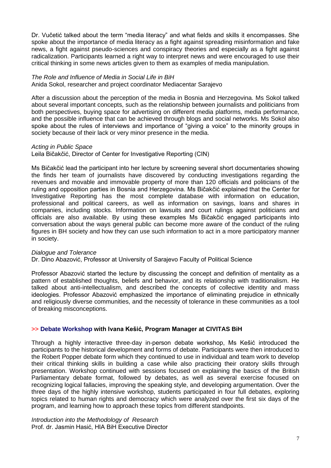Dr. Vučetić talked about the term "media literacy" and what fields and skills it encompasses. She spoke about the importance of media literacy as a fight against spreading misinformation and fake news, a fight against pseudo-sciences and conspiracy theories and especially as a fight against radicalization. Participants learned a right way to interpret news and were encouraged to use their critical thinking in some news articles given to them as examples of media manipulation.

## *The Role and Influence of Media in Social Life in BiH*

Anida Sokol, researcher and project coordinator Mediacentar Sarajevo

After a discussion about the perception of the media in Bosnia and Herzegovina. Ms Sokol talked about several important concepts, such as the relationship between journalists and politicians from both perspectives, buying space for advertising on different media platforms, media performance, and the possible influence that can be achieved through blogs and social networks. Ms Sokol also spoke about the rules of interviews and importance of "giving a voice" to the minority groups in society because of their lack or very minor presence in the media.

### *Acting in Public Space*

Leila Bičakčić, Director of Center for Investigative Reporting (CIN)

Ms Bičakčić lead the participant into her lecture by screening several short documentaries showing the finds her team of journalists have discovered by conducting investigations regarding the revenues and movable and immovable property of more than 120 officials and politicians of the ruling and opposition parties in Bosnia and Herzegovina. Ms Bičakčić explained that the Center for Investigative Reporting has the most complete database with information on education, professional and political careers, as well as information on savings, loans and shares in companies, including stocks. Information on lawsuits and court rulings against politicians and officials are also available. By using these examples Ms Bičakčić engaged participants into conversation about the ways general public can become more aware of the conduct of the ruling figures in BH society and how they can use such information to act in a more participatory manner in society.

### *Dialogue and Tolerance*

Dr. Dino Abazović, Professor at University of Sarajevo Faculty of Political Science

Professor Abazović started the lecture by discussing the concept and definition of mentality as a pattern of established thoughts, beliefs and behavior, and its relationship with traditionalism. He talked about anti-intellectualism, and described the concepts of collective identity and mass ideologies. Professor Abazović emphasized the importance of eliminating prejudice in ethnically and religiously diverse communities, and the necessity of tolerance in these communities as a tool of breaking misconceptions.

### **>> [Debate Workshop](https://www.humanityinaction.org/news_item/edvacay-20-21-debate-workshop/) with Ivana Kešić, Program Manager at CIVITAS BiH**

Through a highly interactive three-day in-person debate workshop, Ms Kešić introduced the participants to the historical development and forms of debate. Participants were then introduced to the Robert Popper debate form which they continued to use in individual and team work to develop their critical thinking skills in building a case while also practicing their oratory skills through presentation. Workshop continued with sessions focused on explaining the basics of the British Parliamentary debate format, followed by debates, as well as several exercise focused on recognizing logical fallacies, improving the speaking style, and developing argumentation. Over the three days of the highly intensive workshop, students participated in four full debates, exploring topics related to human rights and democracy which were analyzed over the first six days of the program, and learning how to approach these topics from different standpoints.

*Introduction into the Methodology of Research* Prof. dr. Jasmin Hasić, HIA BiH Executive Director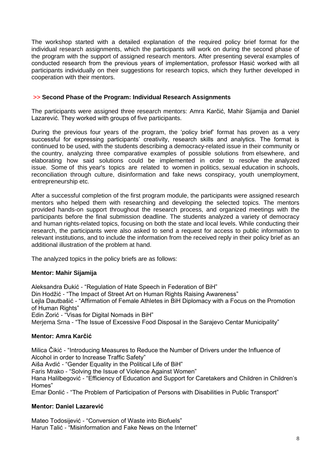The workshop started with a detailed explanation of the required policy brief format for the individual research assignments, which the participants will work on during the second phase of the program with the support of assigned research mentors. After presenting several examples of conducted research from the previous years of implementation, professor Hasić worked with all participants individually on their suggestions for research topics, which they further developed in cooperation with their mentors.

## **>> Second Phase of the Program: Individual Research Assignments**

The participants were assigned three research mentors: Amra Karčić, Mahir Sijamija and Daniel Lazarević. They worked with groups of five participants.

During the previous four years of the program, the 'policy brief' format has proven as a very successful for expressing participants' creativity, research skills and analytics. The format is continued to be used, with the students describing a democracy-related issue in their community or the country, analyzing three comparative examples of possible solutions from elsewhere, and elaborating how said solutions could be implemented in order to resolve the analyzed issue. Some of this year's topics are related to women in politics, sexual education in schools, reconciliation through culture, disinformation and fake news conspiracy, youth unemployment, entrepreneurship etc.

After a successful completion of the first program module, the participants were assigned research mentors who helped them with researching and developing the selected topics. The mentors provided hands-on support throughout the research process, and organized meetings with the participants before the final submission deadline. The students analyzed a variety of democracy and human rights-related topics, focusing on both the state and local levels. While conducting their research, the participants were also asked to send a request for access to public information to relevant institutions, and to include the information from the received reply in their policy brief as an additional illustration of the problem at hand.

The analyzed topics in the policy briefs are as follows:

### **Mentor: Mahir Sijamija**

Aleksandra Đukić - "Regulation of Hate Speech in Federation of BiH" Din Hodžić - "The Impact of Street Art on Human Rights Raising Awareness" Lejla Dautbašić - "Affirmation of Female Athletes in BiH Diplomacy with a Focus on the Promotion of Human Rights" Edin Zorić - "Visas for Digital Nomads in BiH" Merjema Srna - "The Issue of Excessive Food Disposal in the Sarajevo Centar Municipality"

### **Mentor: Amra Karčić**

Milica Čikić - "Introducing Measures to Reduce the Number of Drivers under the Influence of Alcohol in order to Increase Traffic Safety"

Aiša Avdić - "Gender Equality in the Political Life of BiH"

Faris Mrako - "Solving the Issue of Violence Against Women"

Hana Halilbegović - "Efficiency of Education and Support for Caretakers and Children in Children's Homes"

Emar Đonlić - "The Problem of Participation of Persons with Disabilities in Public Transport"

# **Mentor: Daniel Lazarević**

Mateo Todosijević - "Conversion of Waste into Biofuels" Harun Talić - "Misinformation and Fake News on the Internet"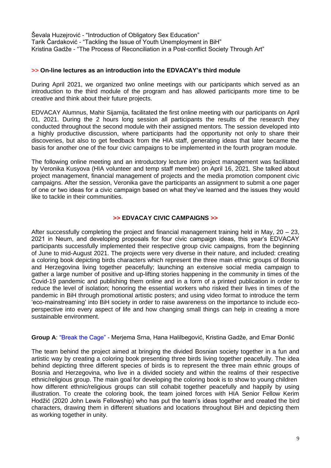Ševala Huzejrović - "Introduction of Obligatory Sex Education" Tarik Čardaković - "Tackling the Issue of Youth Unemployment in BiH" Kristina Gadže - "The Process of Reconciliation in a Post-conflict Society Through Art"

### **>> On-line lectures as an introduction into the EDVACAY's third module**

During April 2021, we organized two online meetings with our participants which served as an introduction to the third module of the program and has allowed participants more time to be creative and think about their future projects.

EDVACAY Alumnus, Mahir Sijamija, facilitated the first online meeting with our participants on April 01, 2021. During the 2 hours long session all participants the results of the research they conducted throughout the second module with their assigned mentors. The session developed into a highly productive discussion, where participants had the opportunity not only to share their discoveries, but also to get feedback from the HIA staff, generating ideas that later became the basis for another one of the four civic campaigns to be implemented in the fourth program module.

The following online meeting and an introductory lecture into project management was facilitated by Veronika Kusyova (HIA volunteer and temp staff member) on April 16, 2021. She talked about project management, financial management of projects and the media promotion component civic campaigns. After the session, Veronika gave the participants an assignment to submit a one pager of one or two ideas for a civic campaign based on what they've learned and the issues they would like to tackle in their communities.

### **>> EDVACAY CIVIC CAMPAIGNS >>**

After successfully completing the project and financial management training held in May, 20 – 23, 2021 in Neum, and developing proposals for four civic campaign ideas, this year's EDVACAY participants successfully implemented their respective group civic campaigns, from the beginning of June to mid-August 2021. The projects were very diverse in their nature, and included: creating a coloring book depicting birds characters which represent the three main ethnic groups of Bosnia and Herzegovina living together peacefully; launching an extensive social media campaign to gather a large number of positive and up-lifting stories happening in the community in times of the Covid-19 pandemic and publishing them online and in a form of a printed publication in order to reduce the level of isolation; honoring the essential workers who risked their lives in times of the pandemic in BiH through promotional artistic posters; and using video format to introduce the term 'eco-mainstreaming' into BiH society in order to raise awareness on the importance to include ecoperspective into every aspect of life and how changing small things can help in creating a more sustainable environment.

## **Group A**: "Break the Cage" - Merjema Srna, Hana Halilbegović, Kristina Gadže, and Emar Đonlić

The team behind the project aimed at bringing the divided Bosnian society together in a fun and artistic way by creating a coloring book presenting three birds living together peacefully. The idea behind depicting three different species of birds is to represent the three main ethnic groups of Bosnia and Herzegovina, who live in a divided society and within the realms of their respective ethnic/religious group. The main goal for developing the coloring book is to show to young children how different ethnic/religious groups can still cohabit together peacefully and happily by using illustration. To create the coloring book, the team joined forces with HIA Senior Fellow Kerim Hodžić (2020 John Lewis Fellowship) who has put the team's ideas together and created the bird characters, drawing them in different situations and locations throughout BiH and depicting them as working together in unity.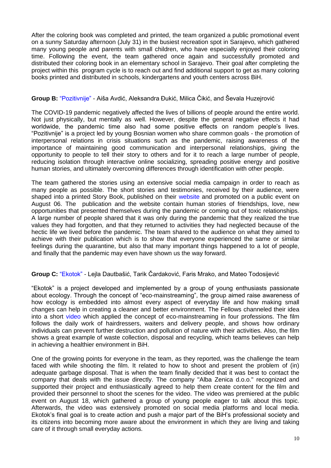After the coloring book was completed and printed, the team organized a public promotional event on a sunny Saturday afternoon (July 31) in the busiest recreation spot in Sarajevo, which gathered many young people and parents with small children, who have especially enjoyed their coloring time. Following the event, the team gathered once again and successfully promoted and distributed their coloring book in an elementary school in Sarajevo. Their goal after completing the project within this program cycle is to reach out and find additional support to get as many coloring books printed and distributed in schools, kindergartens and youth centers across BiH.

## **Group B:** "Pozitivnije" - Aiša Avdić, Aleksandra Đukić, Milica Čikić, and Ševala Huzejrović

The COVID-19 pandemic negatively affected the lives of billions of people around the entire world. Not just physically, but mentally as well. However, despite the general negative effects it had worldwide, the pandemic time also had some positive effects on random people's lives. "Pozitivnije" is a project led by young Bosnian women who share common goals - the promotion of interpersonal relations in crisis situations such as the pandemic, raising awareness of the importance of maintaining good communication and interpersonal relationships, giving the opportunity to people to tell their story to others and for it to reach a large number of people, reducing isolation through interactive online socializing, spreading positive energy and positive human stories, and ultimately overcoming differences through identification with other people.

The team gathered the stories using an extensive social media campaign in order to reach as many people as possible. The short stories and testimonies, received by their audience, were shaped into a printed Story Book, published on their website and promoted on a public event on August 06. The publication and the website contain human stories of friendships, love, new opportunities that presented themselves during the pandemic or coming out of toxic relationships. A large number of people shared that it was only during the pandemic that they realized the true values they had forgotten, and that they returned to activities they had neglected because of the hectic life we lived before the pandemic. The team shared to the audience on what they aimed to achieve with their publication which is to show that everyone experienced the same or similar feelings during the quarantine, but also that many important things happened to a lot of people, and finally that the pandemic may even have shown us the way forward.

**Group C:** "Ekotok" - Lejla Dautbašić, Tarik Čardaković, Faris Mrako, and Mateo Todosijević

"Ekotok" is a project developed and implemented by a group of young enthusiasts passionate about ecology. Through the concept of "eco-mainstreaming", the group aimed raise awareness of how ecology is embedded into almost every aspect of everyday life and how making small changes can help in creating a cleaner and better environment. The Fellows channeled their idea into a short video which applied the concept of eco-mainstreaming in four professions. The film follows the daily work of hairdressers, waiters and delivery people, and shows how ordinary individuals can prevent further destruction and pollution of nature with their activities. Also, the film shows a great example of waste collection, disposal and recycling, which teams believes can help in achieving a healthier environment in BiH.

One of the growing points for everyone in the team, as they reported, was the challenge the team faced with while shooting the film. It related to how to shoot and present the problem of (in) adequate garbage disposal. That is when the team finally decided that it was best to contact the company that deals with the issue directly. The company "Alba Zenica d.o.o." recognized and supported their project and enthusiastically agreed to help them create content for the film and provided their personnel to shoot the scenes for the video. The video was premiered at the public event on August 18, which gathered a group of young people eager to talk about this topic. Afterwards, the video was extensively promoted on social media platforms and local media. Ekotok's final goal is to create action and push a major part of the BiH's professional society and its citizens into becoming more aware about the environment in which they are living and taking care of it through small everyday actions.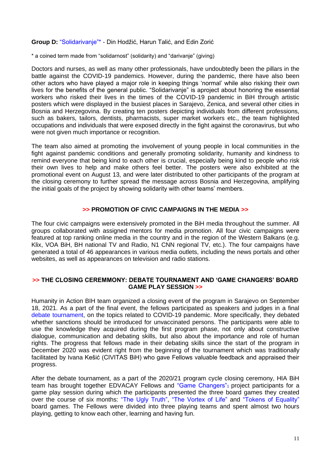**Group D:** "Solidarivanje"\* - Din Hodžić, Harun Talić, and Edin Zorić

\* a coined term made from "solidarnost" (solidarity) and "darivanje" (giving)

Doctors and nurses, as well as many other professionals, have undoubtedly been the pillars in the battle against the COVID-19 pandemics. However, during the pandemic, there have also been other actors who have played a major role in keeping things 'normal' while also risking their own lives for the benefits of the general public. "Solidarivanje" is aproject about honoring the essential workers who risked their lives in the times of the COVID-19 pandemic in BiH through artistic posters which were displayed in the busiest places in Sarajevo, Zenica, and several other cities in Bosnia and Herzegovina. By creating ten posters depicting individuals from different professions, such as bakers, tailors, dentists, pharmacists, super market workers etc., the team highlighted occupations and individuals that were exposed directly in the fight against the coronavirus, but who were not given much importance or recognition.

The team also aimed at promoting the involvement of young people in local communities in the fight against pandemic conditions and generally promoting solidarity, humanity and kindness to remind everyone that being kind to each other is crucial, especially being kind to people who risk their own lives to help and make others feel better. The posters were also exhibited at the promotional event on August 13, and were later distributed to other participants of the program at the closing ceremony to further spread the message across Bosnia and Herzegovina, amplifying the initial goals of the project by showing solidarity with other teams' members.

## **>> PROMOTION OF CIVIC CAMPAIGNS IN THE MEDIA >>**

The four civic campaigns were extensively promoted in the BiH media throughout the summer. All groups collaborated with assigned mentors for media promotion. All four civic campaigns were featured at top ranking online media in the country and in the region of the Western Balkans (e.g. Klix, VOA BiH, BH national TV and Radio, N1 CNN regional TV, etc.). The four campaigns have generated a total of 46 appearances in various media outlets, including the news portals and other websites, as well as appearances on television and radio stations.

### **>> THE CLOSING CEREMMONY: DEBATE TOURNAMENT AND 'GAME CHANGERS' BOARD GAME PLAY SESSION >>**

Humanity in Action BIH team organized a closing event of the program in Sarajevo on September 18, 2021. As a part of the final event, the fellows participated as speakers and judges in a final debate tournament, on the topics related to COVID-19 pandemic. More specifically, they debated whether sanctions should be introduced for unvaccinated persons. The participants were able to use the knowledge they acquired during the first program phase, not only about constructive dialogue, communication and debating skills, but also about the importance and role of human rights. The progress that fellows made in their debating skills since the start of the program in December 2020 was evident right from the beginning of the tournament which was traditionally facilitated by Ivana Kešić (CIVITAS BiH) who gave Fellows valuable feedback and appraised their progress.

After the debate tournament, as a part of the 2020/21 program cycle closing ceremony, HIA BiH team has brought together EDVACAY Fellows and "Game Changers" project participants for a game play session during which the participants presented the three board games they created over the course of six months: "The Ugly Truth", "The Vortex of Life" and "Tokens of Equality" board games. The Fellows were divided into three playing teams and spent almost two hours playing, getting to know each other, learning and having fun.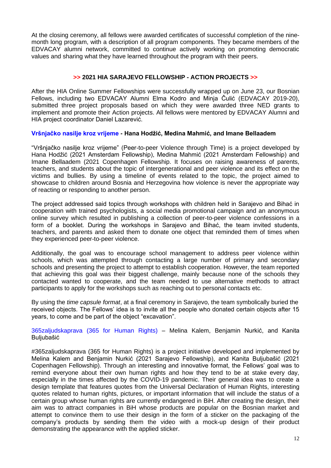At the closing ceremony, all fellows were awarded certificates of successful completion of the ninemonth long program, with a description of all program components. They became members of the EDVACAY alumni network, committed to continue actively working on promoting democratic values and sharing what they have learned throughout the program with their peers.

## **>> 2021 HIA SARAJEVO FELLOWSHIP - ACTION PROJECTS >>**

After the HIA Online Summer Fellowships were successfully wrapped up on June 23, our Bosnian Fellows, including two EDVACAY Alumni Elma Kodro and Minja Čulić (EDVACAY 2019-20), submitted three project proposals based on which they were awarded three NED grants to implement and promote their Action projects. All fellows were mentored by EDVACAY Alumni and HIA project coordinator Daniel Lazarević.

### **Vršnjačko nasilje kroz vrijeme - Hana Hodžić, Medina Mahmić, and Imane Bellaadem**

"Vršnjačko nasilje kroz vrijeme" (Peer-to-peer Violence through Time) is a project developed by Hana Hodžić (2021 Amsterdam Fellowship), Medina Mahmić (2021 Amsterdam Fellowship) and Imane Bellaadem (2021 Copenhagen Fellowship. It focuses on raising awareness of parents, teachers, and students about the topic of intergenerational and peer violence and its effect on the victims and bullies. By using a timeline of events related to the topic, the project aimed to showcase to children around Bosnia and Herzegovina how violence is never the appropriate way of reacting or responding to another person.

The project addressed said topics through workshops with children held in Sarajevo and Bihać in cooperation with trained psychologists, a social media promotional campaign and an anonymous online survey which resulted in publishing a collection of peer-to-peer violence confessions in a form of a booklet. During the workshops in Sarajevo and Bihać, the team invited students, teachers, and parents and asked them to donate one object that reminded them of times when they experienced peer-to-peer violence.

Additionally, the goal was to encourage school management to address peer violence within schools, which was attempted through contacting a large number of primary and secondary schools and presenting the project to attempt to establish cooperation. However, the team reported that achieving this goal was their biggest challenge, mainly because none of the schools they contacted wanted to cooperate, and the team needed to use alternative methods to attract participants to apply for the workshops such as reaching out to personal contacts etc.

By using the *time capsule format*, at a final ceremony in Sarajevo, the team symbolically buried the received objects. The Fellows' idea is to invite all the people who donated certain objects after 15 years, to come and be part of the object "excavation".

365zaljudskaprava (365 for Human Rights) – Melina Kalem, Benjamin Nurkić, and Kanita Buljubašić

#365zaljudskaprava (365 for Human Rights) is a project initiative developed and implemented by Melina Kalem and Benjamin Nurkić (2021 Sarajevo Fellowship), and Kanita Buljubašić (2021 Copenhagen Fellowship). Through an interesting and innovative format, the Fellows' goal was to remind everyone about their own human rights and how they tend to be at stake every day, especially in the times affected by the COVID-19 pandemic. Their general idea was to create a design template that features quotes from the Universal Declaration of Human Rights, interesting quotes related to human rights, pictures, or important information that will include the status of a certain group whose human rights are currently endangered in BiH. After creating the design, their aim was to attract companies in BiH whose products are popular on the Bosnian market and attempt to convince them to use their design in the form of a sticker on the packaging of the company's products by sending them the video with a mock-up design of their product demonstrating the appearance with the applied sticker.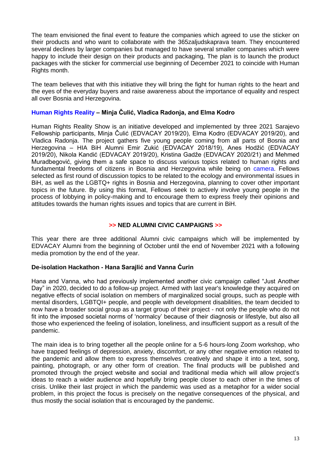The team envisioned the final event to feature the companies which agreed to use the sticker on their products and who want to collaborate with the 365zaljudskaprava team. They encountered several declines by larger companies but managed to have several smaller companies which were happy to include their design on their products and packaging, The plan is to launch the product packages with the sticker for commercial use beginning of December 2021 to coincide with Human Rights month.

The team believes that with this initiative they will bring the fight for human rights to the heart and the eyes of the everyday buyers and raise awareness about the importance of equality and respect all over Bosnia and Herzegovina.

## **Human Rights Reality – Minja Čulić, Vladica Radonja, and Elma Kodro**

Human Rights Reality Show is an initiative developed and implemented by three 2021 Sarajevo Fellowship participants, Minja Čulić (EDVACAY 2019/20), Elma Kodro (EDVACAY 2019/20), and Vladica Radonja. The project gathers five young people coming from all parts of Bosnia and Herzegovina – HIA BiH Alumni Emir Zukić (EDVACAY 2018/19), Anes Hodžić (EDVACAY 2019/20), Nikola Kandić (EDVACAY 2019/20), Kristina Gadže (EDVACAY 2020/21) and Mehmed Muradbegović, giving them a safe space to discuss various topics related to human rights and fundamental freedoms of citizens in Bosnia and Herzegovina while being on camera. Fellows selected as first round of discussion topics to be related to the ecology and environmental issues in BiH, as well as the LGBTQ+ rights in Bosnia and Herzegovina, planning to cover other important topics in the future. By using this format, Fellows seek to actively involve young people in the process of lobbying in policy-making and to encourage them to express freely their opinions and attitudes towards the human rights issues and topics that are current in BiH.

## **>> NED ALUMNI CIVIC CAMPAIGNS >>**

This year there are three additional Alumni civic campaigns which will be implemented by EDVACAY Alumni from the beginning of October until the end of November 2021 with a following media promotion by the end of the year.

# **De-isolation Hackathon - Hana Sarajlić and Vanna Ćurin**

Hana and Vanna, who had previously implemented another civic campaign called "Just Another Day" in 2020, decided to do a follow-up project. Armed with last year's knowledge they acquired on negative effects of social isolation on members of marginalized social groups, such as people with mental disorders, LGBTQI+ people, and people with development disabilities, the team decided to now have a broader social group as a target group of their project - not only the people who do not fit into the imposed societal norms of 'normalcy' because of their diagnosis or lifestyle, but also all those who experienced the feeling of isolation, loneliness, and insufficient support as a result of the pandemic.

The main idea is to bring together all the people online for a 5-6 hours-long Zoom workshop, who have trapped feelings of depression, anxiety, discomfort, or any other negative emotion related to the pandemic and allow them to express themselves creatively and shape it into a text, song, painting, photograph, or any other form of creation. The final products will be published and promoted through the project website and social and traditional media which will allow project's ideas to reach a wider audience and hopefully bring people closer to each other in the times of crisis. Unlike their last project in which the pandemic was used as a metaphor for a wider social problem, in this project the focus is precisely on the negative consequences of the physical, and thus mostly the social isolation that is encouraged by the pandemic.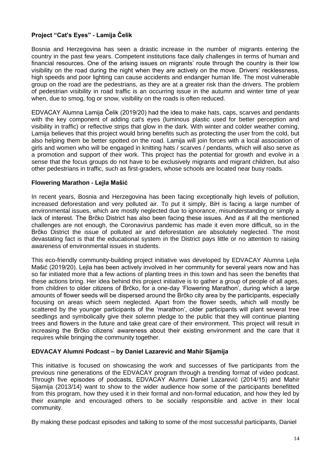# **Project "Cat's Eyes" - Lamija Čelik**

Bosnia and Herzegovina has seen a drastic increase in the number of migrants entering the country in the past few years. Competent institutions face daily challenges in terms of human and financial resources. One of the arising issues on migrants' route through the country is their low visibility on the road during the night when they are actively on the move. Drivers' recklessness, high speeds and poor lighting can cause accidents and endanger human life. The most vulnerable group on the road are the pedestrians, as they are at a greater risk than the drivers. The problem of pedestrian visibility in road traffic is an occurring issue in the autumn and winter time of year when, due to smog, fog or snow, visibility on the roads is often reduced.

EDVACAY Alumna Lamija Čelik (2019/20) had the idea to make hats, caps, scarves and pendants with the key component of adding cat's eyes (luminous plastic used for better perception and visibility in traffic) or reflective strips that glow in the dark. With winter and colder weather coming, Lamija believes that this project would bring benefits such as protecting the user from the cold, but also helping them be better spotted on the road. Lamija will join forces with a local association of girls and women who will be engaged in knitting hats / scarves / pendants, which will also serve as a promotion and support of their work. This project has the potential for growth and evolve in a sense that the focus groups do not have to be exclusively migrants and migrant children, but also other pedestrians in traffic, such as first-graders, whose schools are located near busy roads.

### **Flowering Marathon - Lejla Mašić**

In recent years, Bosnia and Herzegovina has been facing exceptionally high levels of pollution, increased deforestation and very polluted air. To put it simply, BiH is facing a large number of environmental issues, which are mostly neglected due to ignorance, misunderstanding or simply a lack of interest. The Brčko District has also been facing these issues. And as if all the mentioned challenges are not enough, the Coronavirus pandemic has made it even more difficult, so in the Brčko District the issue of polluted air and deforestation are absolutely neglected. The most devastating fact is that the educational system in the District pays little or no attention to raising awareness of environmental issues in students.

This eco-friendly community-building project initiative was developed by EDVACAY Alumna Lejla Mašić (2019/20). Lejla has been actively involved in her community for several years now and has so far initiated more that a few actions of planting trees in this town and has seen the benefits that these actions bring. Her idea behind this project initiative is to gather a group of people of all ages, from children to older citizens of Brčko, for a one-day 'Flowering Marathon', during which a large amounts of flower seeds will be dispersed around the Brčko city area by the participants, especially focusing on areas which seem neglected. Apart from the flower seeds, which will mostly be scattered by the younger participants of the 'marathon', older participants will plant several tree seedlings and symbolically give their solemn pledge to the public that they will continue planting trees and flowers in the future and take great care of their environment. This project will result in increasing the Brčko citizens' awareness about their existing environment and the care that it requires while bringing the community together.

## **EDVACAY Alumni Podcast – by Daniel Lazarević and Mahir Sijamija**

This initiative is focused on showcasing the work and successes of five participants from the previous nine generations of the EDVACAY program through a trending format of video podcast. Through five episodes of podcasts, EDVACAY Alumni Daniel Lazarević (2014/15) and Mahir Sijamija (2013/14) want to show to the wider audience how some of the participants benefitted from this program, how they used it in their formal and non-formal education, and how they led by their example and encouraged others to be socially responsible and active in their local community.

By making these podcast episodes and talking to some of the most successful participants, Daniel